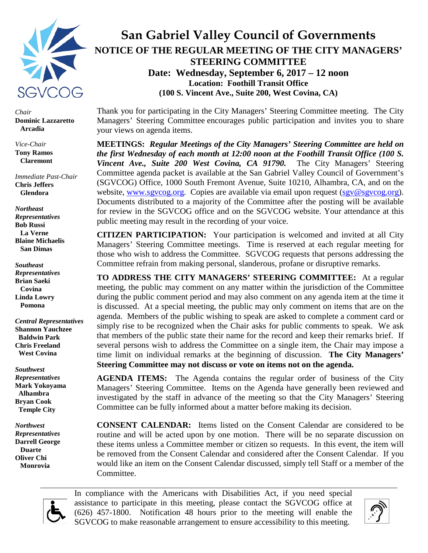

*Chair* **Dominic Lazzaretto Arcadia**

*Vice-Chair* **Tony Ramos Claremont** 

*Immediate Past-Chair* **Chris Jeffers Glendora**

*Northeast Representatives* **Bob Russi La Verne Blaine Michaelis San Dimas**

*Southeast Representatives* **Brian Saeki Covina Linda Lowry Pomona**

*Central Representatives* **Shannon Yauchzee Baldwin Park Chris Freeland West Covina** 

*Southwest Representatives* **Mark Yokoyama Alhambra Bryan Cook Temple City**

*Northwest Representatives* **Darrell George Duarte Oliver Chi Monrovia**

# **San Gabriel Valley Council of Governments NOTICE OF THE REGULAR MEETING OF THE CITY MANAGERS' STEERING COMMITTEE Date: Wednesday, September 6, 2017 – 12 noon Location: Foothill Transit Office (100 S. Vincent Ave., Suite 200, West Covina, CA)**

Thank you for participating in the City Managers' Steering Committee meeting. The City Managers' Steering Committee encourages public participation and invites you to share your views on agenda items.

**MEETINGS:** *Regular Meetings of the City Managers' Steering Committee are held on the first Wednesday of each month at 12:00 noon at the Foothill Transit Office (100 S. Vincent Ave., Suite 200 West Covina, CA 91790.* The City Managers' Steering Committee agenda packet is available at the San Gabriel Valley Council of Government's (SGVCOG) Office, 1000 South Fremont Avenue, Suite 10210, Alhambra, CA, and on the website, [www.sgvcog.org.](http://www.sgvcog.org/) Copies are available via email upon request [\(sgv@sgvcog.org\)](mailto:sgv@sgvcog.org). Documents distributed to a majority of the Committee after the posting will be available for review in the SGVCOG office and on the SGVCOG website. Your attendance at this public meeting may result in the recording of your voice.

**CITIZEN PARTICIPATION:** Your participation is welcomed and invited at all City Managers' Steering Committee meetings. Time is reserved at each regular meeting for those who wish to address the Committee. SGVCOG requests that persons addressing the Committee refrain from making personal, slanderous, profane or disruptive remarks.

**TO ADDRESS THE CITY MANAGERS' STEERING COMMITTEE:** At a regular meeting, the public may comment on any matter within the jurisdiction of the Committee during the public comment period and may also comment on any agenda item at the time it is discussed. At a special meeting, the public may only comment on items that are on the agenda. Members of the public wishing to speak are asked to complete a comment card or simply rise to be recognized when the Chair asks for public comments to speak. We ask that members of the public state their name for the record and keep their remarks brief. If several persons wish to address the Committee on a single item, the Chair may impose a time limit on individual remarks at the beginning of discussion. **The City Managers' Steering Committee may not discuss or vote on items not on the agenda.**

**AGENDA ITEMS:** The Agenda contains the regular order of business of the City Managers' Steering Committee. Items on the Agenda have generally been reviewed and investigated by the staff in advance of the meeting so that the City Managers' Steering Committee can be fully informed about a matter before making its decision.

**CONSENT CALENDAR:** Items listed on the Consent Calendar are considered to be routine and will be acted upon by one motion. There will be no separate discussion on these items unless a Committee member or citizen so requests. In this event, the item will be removed from the Consent Calendar and considered after the Consent Calendar. If you would like an item on the Consent Calendar discussed, simply tell Staff or a member of the Committee.



In compliance with the Americans with Disabilities Act, if you need special assistance to participate in this meeting, please contact the SGVCOG office at (626) 457-1800. Notification 48 hours prior to the meeting will enable the SGVCOG to make reasonable arrangement to ensure accessibility to this meeting.

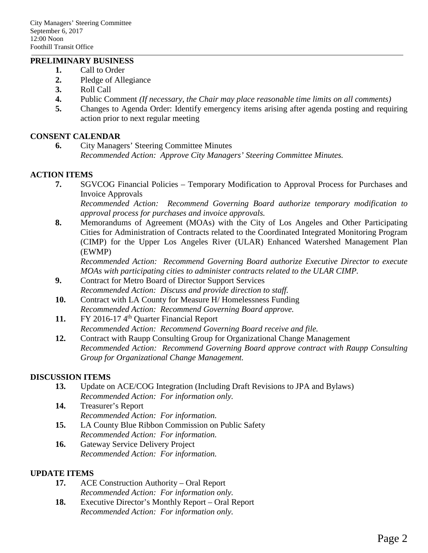#### **PRELIMINARY BUSINESS**

- **1.** Call to Order
- **2.** Pledge of Allegiance
- **3.** Roll Call
- **4.** Public Comment *(If necessary, the Chair may place reasonable time limits on all comments)*
- **5.** Changes to Agenda Order: Identify emergency items arising after agenda posting and requiring action prior to next regular meeting

## **CONSENT CALENDAR**

**6.** City Managers' Steering Committee Minutes *Recommended Action: Approve City Managers' Steering Committee Minutes.*

## **ACTION ITEMS**

- **7.** SGVCOG Financial Policies Temporary Modification to Approval Process for Purchases and Invoice Approvals *Recommended Action: Recommend Governing Board authorize temporary modification to approval process for purchases and invoice approvals.*
- **8.** Memorandums of Agreement (MOAs) with the City of Los Angeles and Other Participating Cities for Administration of Contracts related to the Coordinated Integrated Monitoring Program (CIMP) for the Upper Los Angeles River (ULAR) Enhanced Watershed Management Plan (EWMP)

*Recommended Action: Recommend Governing Board authorize Executive Director to execute MOAs with participating cities to administer contracts related to the ULAR CIMP.* 

- **9.** Contract for Metro Board of Director Support Services *Recommended Action: Discuss and provide direction to staff.*
- **10.** Contract with LA County for Measure H/ Homelessness Funding *Recommended Action: Recommend Governing Board approve.*
- 11. FY 2016-17 4<sup>th</sup> Quarter Financial Report *Recommended Action: Recommend Governing Board receive and file.*
- **12.** Contract with Raupp Consulting Group for Organizational Change Management *Recommended Action: Recommend Governing Board approve contract with Raupp Consulting Group for Organizational Change Management.*

# **DISCUSSION ITEMS**

- **13.** Update on ACE/COG Integration (Including Draft Revisions to JPA and Bylaws) *Recommended Action: For information only.*
- **14.** Treasurer's Report *Recommended Action: For information.*
- **15.** LA County Blue Ribbon Commission on Public Safety *Recommended Action: For information.*
- 16. Gateway Service Delivery Project *Recommended Action: For information.*

# **UPDATE ITEMS**

- **17.** ACE Construction Authority Oral Report *Recommended Action: For information only.*
- **18.** Executive Director's Monthly Report Oral Report *Recommended Action: For information only.*